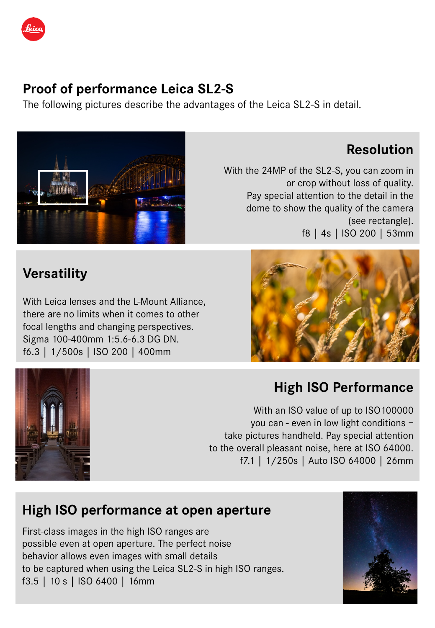

### **Proof of performance Leica SL2-S**

The following pictures describe the advantages of the Leica SL2-S in detail.



### **Resolution**

With the 24MP of the SL2-S, you can zoom in or crop without loss of quality. Pay special attention to the detail in the dome to show the quality of the camera (see rectangle). f8 | 4s | ISO 200 | 53mm

# **Versatility**

With Leica lenses and the L-Mount Alliance, there are no limits when it comes to other focal lengths and changing perspectives. Sigma 100-400mm 1:5.6-6.3 DG DN. f6.3 | 1/500s | ISO 200 | 400mm





## **High ISO Performance**

With an ISO value of up to ISO100000 you can - even in low light conditions – take pictures handheld. Pay special attention to the overall pleasant noise, here at ISO 64000. f7.1 | 1/250s | Auto ISO 64000 | 26mm

## **High ISO performance at open aperture**

First-class images in the high ISO ranges are possible even at open aperture. The perfect noise behavior allows even images with small details to be captured when using the Leica SL2-S in high ISO ranges. f3.5 | 10 s | ISO 6400 | 16mm